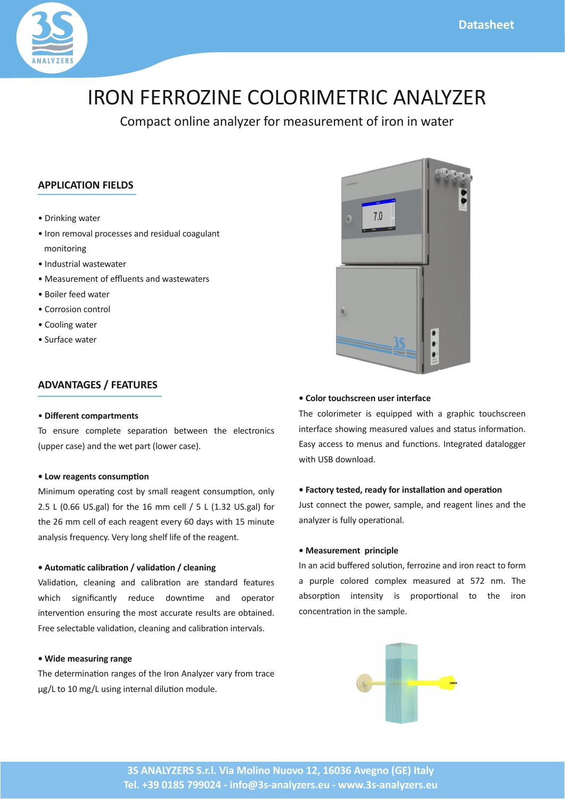+),  $0+*(\& * (67 +))$  /2.)  $*0+8+*(\& 4)$  0.

 $> .&8'$  & \$4 0.  $> +^*$ .  $+3$  (,  $+$  // / \* . /&2 ( + \$2( \*0  $+3.8+8.8$  $>$  \* 2/0&(4 /04 0. >  $/2$ ,  $)$   $*0+$   $"$   $2 *0$   $*$  4  $/04$  0.  $> +\frac{2}{3}$ . 4 0.  $> + . + / & * + 0 + ($  $> +\frac{8}{34}$  0.  $> 2. 40.$ 

2

 $>$  ! ' \$) %# & ')# \$)( +  $*/2$  +  $)(0 /$ ,  $1+^*$  04 \* 0% (  $0+^*8/$  $2, \ldots$  /  $\mathbb{Q}^*$  0% 4 0, 03, +4  $\ldots$  /  $\mathbb{Q}$ 

4 % ' \$)(  $\frac{96}{4}$  +# &\*  $\frac{96}{8}$ 

 $\&$  \& 2) +, . 1\*\\$ +/0 \6 /) ((. \\$ \*0 +\*/2), 1+\*9+\*(6 EH  $\overline{1}$ C<sub>i</sub>l ;  $\frac{1}{3}$  (@+. 0% D ) ) ((<H  $\overline{1}$ D<sub>i</sub>FE ;  $\frac{1}{3}$  (@+. 0% E)) ((+ % \$ \* 0 3 .61 C 6/ 4 & %DH) & 20 \*  $(6/\&$ .  $-2 * 6$ .  $6(+*\$)/\%$  ( $(8 + 0\%$ . \$ \* 0

4 +  $\frac{9\#}{4}$  \* "! \* % 2. "! \* % 2." \$!\$

 $(8.1+8)$  (  $8.5$  \*  $(8.1+8)$   $(0.1)$   $(0.1)$   $(0.1)$  $4\%%$  / $\frac{8}{8}$  &  $^*$  0(6 . 2 + 4  $^*$  1)  $^*$  +, 0+.  $&0.3 * 1+ * * /2.$   $&0.0 * 10 = 2.0$  .  $/2(0 + 0.8)$ ; . / ( 0 ( 3 (& 1+\*9 ( \*&\$ \* (& 1+\* & 0 .3  $\ell$ );

4 ! #  $(+!\$\$$  ' \$  $\%$  0.) & 1+\*  $\frac{1}{2}$  + 0%  $\frac{1}{2}$  +  $\frac{1}{2}$  (67.3.6.+) 0 8\$< 0+DC) \$< 2/8\$80 .\* (  $821+^*$  ) + 2( ;

 $4\frac{9}{9}\%$ )% ('\$+('!\$)' %  $+(+3, 0, 8, -28, 48\%)$  \$., % 0.42 %. \*  $&0.$  /%+4&\$) /2. 3 (2 / \* /0 02/ & +.) 1+\*;  $(6)$   $(1)$  0+  $(3)$   $*$  2'  $(2)$   $*$  2<sup>\*</sup> 1+<sup>\*</sup> $/$ ;  $*$  0 \$ 0 0 (+\$\$ .  $48%$  $+4*(+$ 

4 )%.) () 0 . %!\$() "" \* % \$ % ' \* %  $2/0$  +\*\* 00%, +4 .9/), (9 \* . \$ \*0(& / \* 0%) \*  $(67 \cdot 8 \cdot 2)(6+, \cdot 1+^*)$ 

4  $(+ # $) 8! 15! 8"$ 

\* \* & 2 .  $/+(21+{}^{*}9-.+78.{}^{*}8+{}^{*}0.00+).$ , 2.,  $($  +(+. +),  $(5)$  /2. 0 HJE \*); %  $/+, 1+^*$  & 0  $^*/$  & 6 & , .+, +.1+  $^*$  ( 0+ 0% & +  $^*$  $+^*$  \* 0 1+\* & 0% / ), (;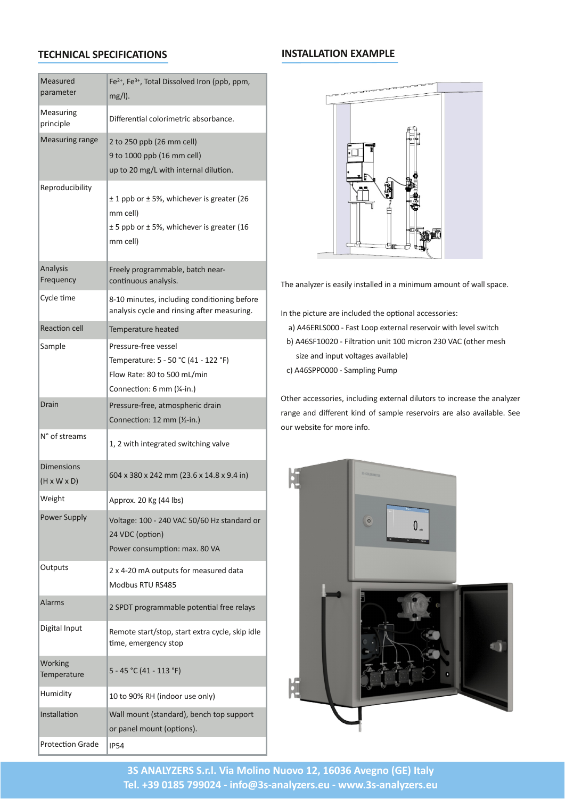| $/2$ .<br>$, \cdot) 0.$     | FP9 FP9 +0 ( $\frac{2}{3}$ +(3 +* ?, 9, ) 9<br>35(0)                                                                                |                                                                                                                                     |
|-----------------------------|-------------------------------------------------------------------------------------------------------------------------------------|-------------------------------------------------------------------------------------------------------------------------------------|
| $/2.8$ \$<br>$, .88$ & (    | $8. *1 (+4.8 08/+. * ;$                                                                                                             |                                                                                                                                     |
| $/2.8$ \$. *\$              | $E0 + E + C,$ , $E1)$ ) ((@<br>$L\oplus DCCC,$ , $T1)$ ) ((@<br>2, 0+ EC) $\< 4\frac{80}{280}$ .* ( $\frac{8}{21}$ +*;              |                                                                                                                                     |
| $, + 28886$                 | QD,, + QHO94% % 3.& \$. 0. 2E<br>) ) $((@)$<br>QH,, + QHO94% % 3.& \$. 0. ?D<br>) ) (( $@$                                          |                                                                                                                                     |
| * $(6/8)$<br>$. -2 * 6$     | $(6, +\$ ) $(9, 0\%$ =<br>$+$ * 1* 2+2/ * (6/ &;                                                                                    | % * $(67.8 \t/868/0 ((8.882) ) +2*0+4 ((1.58)$                                                                                      |
| 6(1)                        | K=DC) & 20/9& (2 & \$ +* & +* & \$ +.<br>* $(6/8. 6$ ( * .8./8.\$ # .) /2.8.\$;                                                     | * 0%, & 02. . & $(2 \t 0\t 0 + 1 + \t (1 + 8)$ :                                                                                    |
| $1+$ ((                     | ), $\Omega$ , $\%$ 0                                                                                                                | @ G<br>$CCC = /0 +1, 50.* (. / .3+8.4)$ $W_0$ 3 (/4.80%)                                                                            |
| ), (                        | $. 1/2. = . 31/ ($<br>), $\Omega$ .: H=HCB $\Omega$ O=DEEB $\omega$<br>$(+4$ 0: KCO+ HCC) $\triangleleft$ &<br>+** 1+*: I) ) ?N=&;@ | DOCEC = $\{0, 1+^* 2^* 10$ DOC) $8. +^*$ EFC $3.0\%$ . $\}$ /%<br>@ G<br>$/8$ * &, 203+(0 \$ / 3 & (@<br>@ G<br>$CCC = 0, (8.5 2),$ |
| . &                         | $1/2 = 90 + 0.8$ .<br>$+^{**}$ 1+*: DE) ) $M=8$ ; @                                                                                 | 0%. $1/+8/98$ (2 8\$ 50.* (820+./0+8. / 0% * (67.<br>$.*$ \$ * & $.*0'$ & + / ), ( . / .3+&/ . (/+ 3 & (;<br>$+2.4$ /80 + + + 8 +;  |
| $B+ /0$ ) /                 | DOE4 &D%&0\$.0 /4 &0%&\$3 (3                                                                                                        |                                                                                                                                     |
| $x^*/x^*/$<br>? 5 5 @       | ICG5FKC5EGE) ) ?EF;I 5DGK5L;G& @                                                                                                    |                                                                                                                                     |
| \$%                         | ,, .+5; EC $$7GG$ ( $/@$                                                                                                            |                                                                                                                                     |
| $+4$ . 2, , (6              | $+(0$ \$ : DCC=EGC HCd C 7/0 $*$ . +.<br>EG $2+$ , $1+$ <sup>*</sup> @<br>$+4$ . $+^*/2$ ), $1+^*$ : ) 5; KC                        |                                                                                                                                     |
| 20, 20                      | $E5GEC$ ) $+20,20$ +.) /2.<br>$\mathbf 0$<br>$+2/$<br><b>GKH</b>                                                                    |                                                                                                                                     |
| $( . )$ /                   | $, +$ \$. ) ) ( $, +$ 0 $*$ 1 ( (6/<br>E.                                                                                           |                                                                                                                                     |
| $$80 (*, 20)$               | $(9/8.8)$ +0 /0.0 $\neq$ 0 +, 9/0.0 50 6 (9/' & 8 (<br>1) 9) $.$ \$ $*$ 6/0+,                                                       |                                                                                                                                     |
| $+.$ ' &\$<br>), $\Omega$ . | $H = GHB$ $7CD = DCFB$ @                                                                                                            |                                                                                                                                     |
| $2)$ & & 66                 | DCO+LOO $\frac{1}{2}$ + +. 2/ + * (6 $\omega$                                                                                       |                                                                                                                                     |
| */0 $(1 +$ *                | (() $+2*070*$ . @ * %0+, /2, , +.0<br>+., $*( ) +2*0?+, 1+*/@$                                                                      |                                                                                                                                     |
| $. +0 +^*$ .                | HG                                                                                                                                  |                                                                                                                                     |